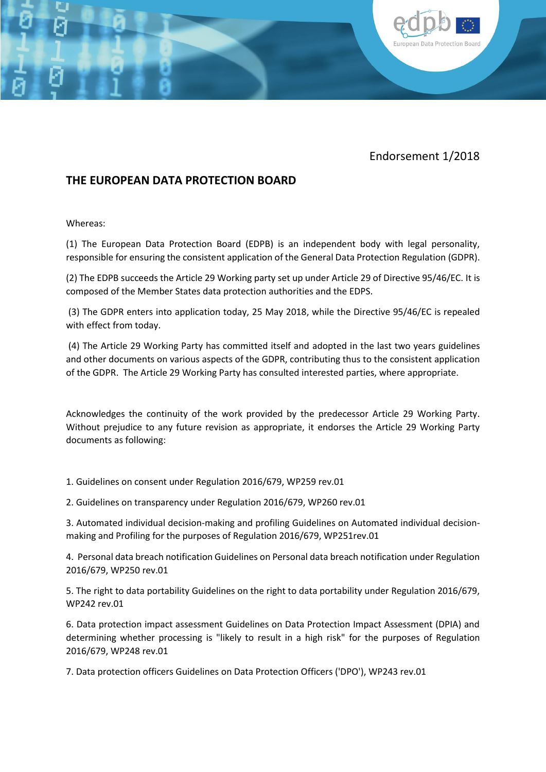

European Data Protection Board

## **THE EUROPEAN DATA PROTECTION BOARD**

Whereas:

(1) The European Data Protection Board (EDPB) is an independent body with legal personality, responsible for ensuring the consistent application of the General Data Protection Regulation (GDPR).

(2) The EDPB succeeds the Article 29 Working party set up under Article 29 of Directive 95/46/EC. It is composed of the Member States data protection authorities and the EDPS.

(3) The GDPR enters into application today, 25 May 2018, while the Directive 95/46/EC is repealed with effect from today.

(4) The Article 29 Working Party has committed itself and adopted in the last two years guidelines and other documents on various aspects of the GDPR, contributing thus to the consistent application of the GDPR. The Article 29 Working Party has consulted interested parties, where appropriate.

Acknowledges the continuity of the work provided by the predecessor Article 29 Working Party. Without prejudice to any future revision as appropriate, it endorses the Article 29 Working Party documents as following:

1. Guidelines on consent under Regulation 2016/679, WP259 rev.01

2. Guidelines on transparency under Regulation 2016/679, WP260 rev.01

3. Automated individual decision-making and profiling Guidelines on Automated individual decisionmaking and Profiling for the purposes of Regulation 2016/679, WP251rev.01

4. Personal data breach notification Guidelines on Personal data breach notification under Regulation 2016/679, WP250 rev.01

5. The right to data portability Guidelines on the right to data portability under Regulation 2016/679, WP242 rev.01

6. Data protection impact assessment Guidelines on Data Protection Impact Assessment (DPIA) and determining whether processing is "likely to result in a high risk" for the purposes of Regulation 2016/679, WP248 rev.01

7. Data protection officers Guidelines on Data Protection Officers ('DPO'), WP243 rev.01